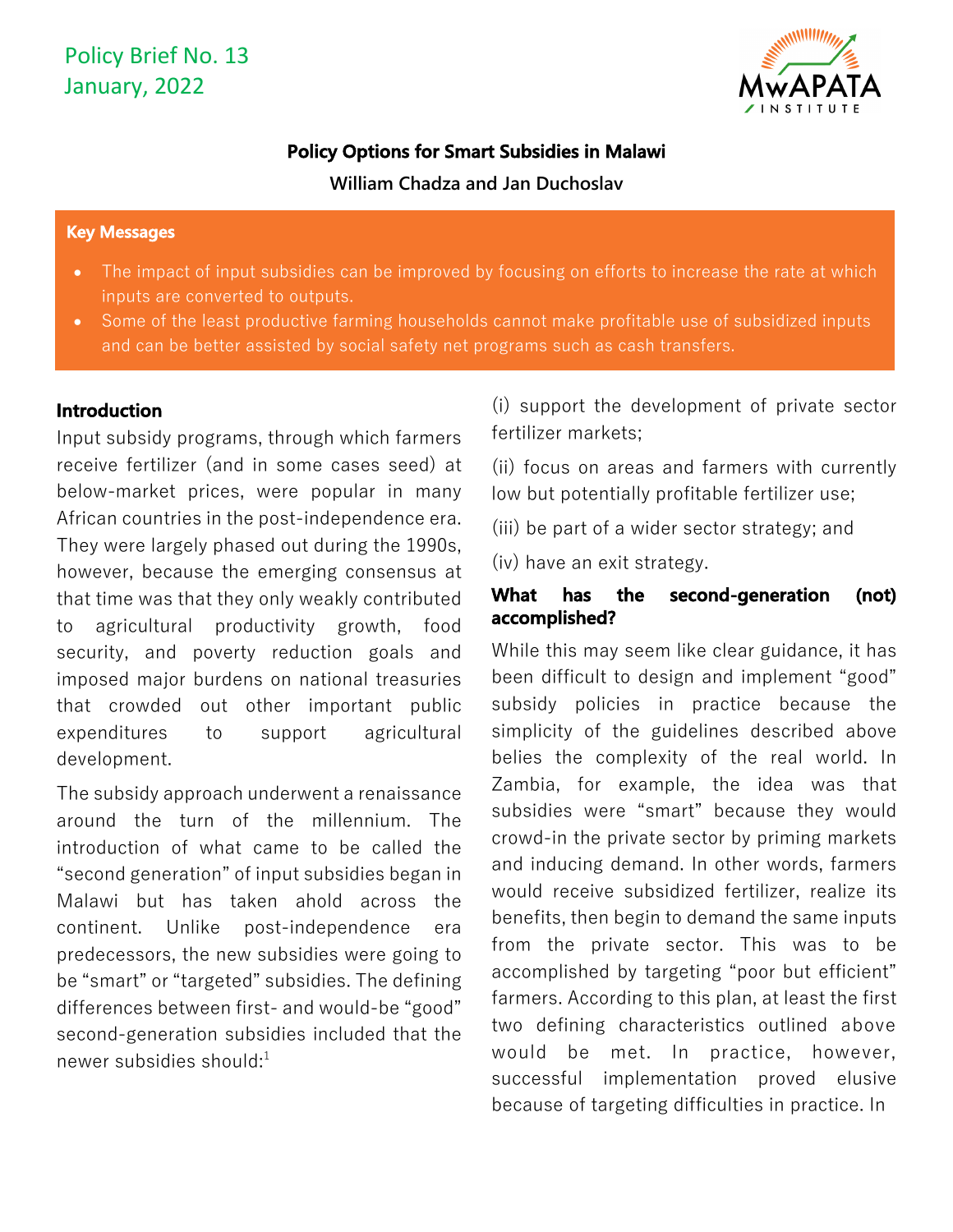

# **Policy Options for Smart Subsidies in Malawi**

**William Chadza and Jan Duchoslav** 

#### **Key Messages**

- The impact of input subsidies can be improved by focusing on efforts to increase the rate at which inputs are converted to outputs.
- Some of the least productive farming households cannot make profitable use of subsidized inputs and can be better assisted by social safety net programs such as cash transfers.

### **Introduction**

Input subsidy programs, through which farmers receive fertilizer (and in some cases seed) at below-market prices, were popular in many African countries in the post-independence era. They were largely phased out during the 1990s, however, because the emerging consensus at that time was that they only weakly contributed to agricultural productivity growth, food security, and poverty reduction goals and imposed major burdens on national treasuries that crowded out other important public expenditures to support agricultural development.

The subsidy approach underwent a renaissance around the turn of the millennium. The introduction of what came to be called the "second generation" of input subsidies began in Malawi but has taken ahold across the continent. Unlike post-independence era predecessors, the new subsidies were going to be "smart" or "targeted" subsidies. The defining differences between first- and would-be "good" second-generation subsidies included that the newer subsidies should:1

(i) support the development of private sector fertilizer markets;

(ii) focus on areas and farmers with currently low but potentially profitable fertilizer use;

(iii) be part of a wider sector strategy; and

(iv) have an exit strategy.

### **What has the second-generation (not) accomplished?**

While this may seem like clear guidance, it has been difficult to design and implement "good" subsidy policies in practice because the simplicity of the guidelines described above belies the complexity of the real world. In Zambia, for example, the idea was that subsidies were "smart" because they would crowd-in the private sector by priming markets and inducing demand. In other words, farmers would receive subsidized fertilizer, realize its benefits, then begin to demand the same inputs from the private sector. This was to be accomplished by targeting "poor but efficient" farmers. According to this plan, at least the first two defining characteristics outlined above would be met. In practice, however, successful implementation proved elusive because of targeting difficulties in practice. In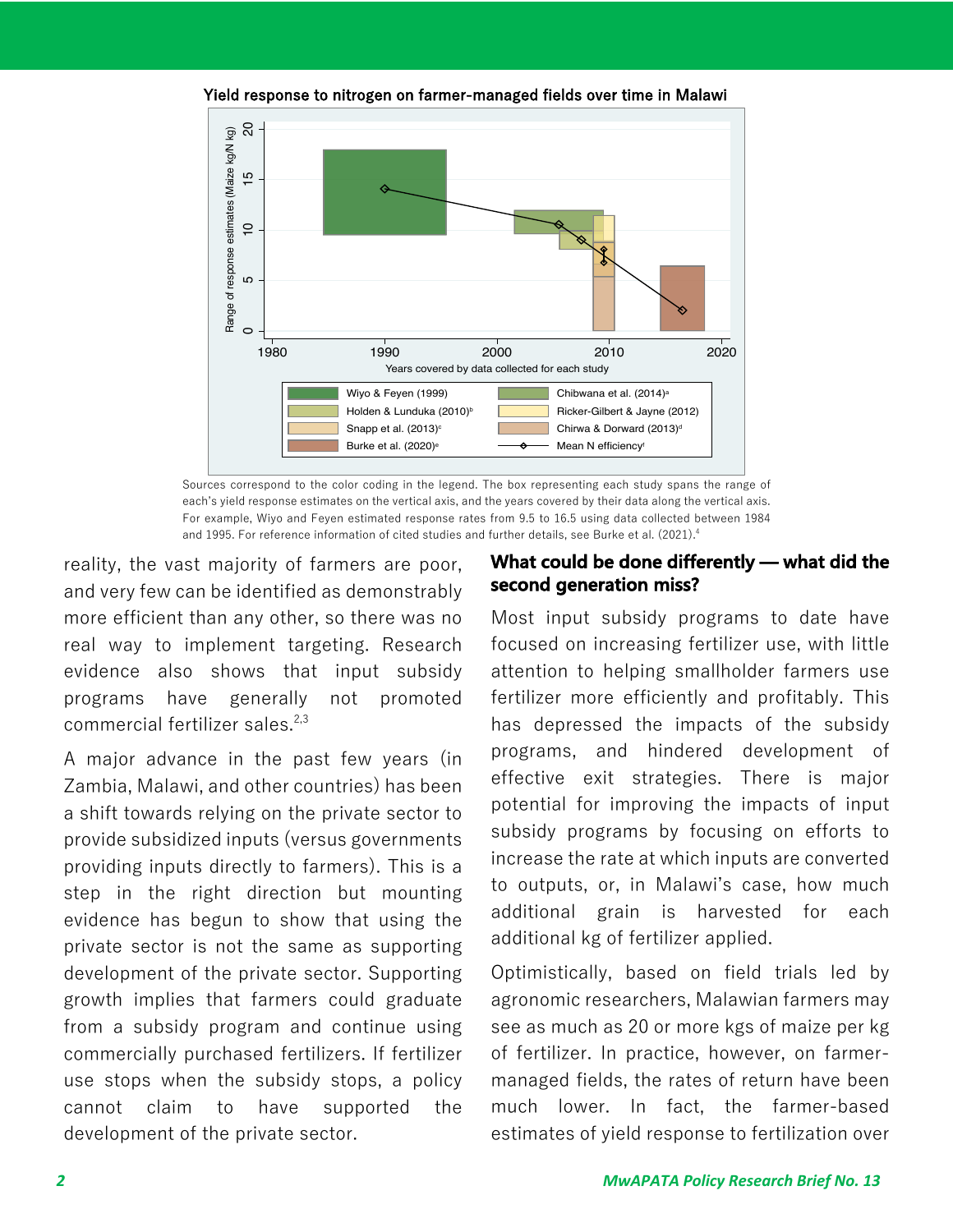

Yield response to nitrogen on farmer-managed fields over time in Malawi

Sources correspond to the color coding in the legend. The box representing each study spans the range of each's yield response estimates on the vertical axis, and the years covered by their data along the vertical axis. For example, Wiyo and Feyen estimated response rates from 9.5 to 16.5 using data collected between 1984 and 1995. For reference information of cited studies and further details, see Burke et al. (2021).<sup>4</sup>

reality, the vast majority of farmers are poor, and very few can be identified as demonstrably more efficient than any other, so there was no real way to implement targeting. Research evidence also shows that input subsidy programs have generally not promoted commercial fertilizer sales. 2,3

A major advance in the past few years (in Zambia, Malawi, and other countries) has been a shift towards relying on the private sector to provide subsidized inputs (versus governments providing inputs directly to farmers). This is a step in the right direction but mounting evidence has begun to show that using the private sector is not the same as supporting development of the private sector. Supporting growth implies that farmers could graduate from a subsidy program and continue using commercially purchased fertilizers. If fertilizer use stops when the subsidy stops, a policy cannot claim to have supported the development of the private sector.

### **What could be done differently — what did the second generation miss?**

Most input subsidy programs to date have focused on increasing fertilizer use, with little attention to helping smallholder farmers use fertilizer more efficiently and profitably. This has depressed the impacts of the subsidy programs, and hindered development of effective exit strategies. There is major potential for improving the impacts of input subsidy programs by focusing on efforts to increase the rate at which inputs are converted to outputs, or, in Malawi's case, how much additional grain is harvested for each additional kg of fertilizer applied.

Optimistically, based on field trials led by agronomic researchers, Malawian farmers may see as much as 20 or more kgs of maize per kg of fertilizer. In practice, however, on farmermanaged fields, the rates of return have been much lower. In fact, the farmer-based estimates of yield response to fertilization over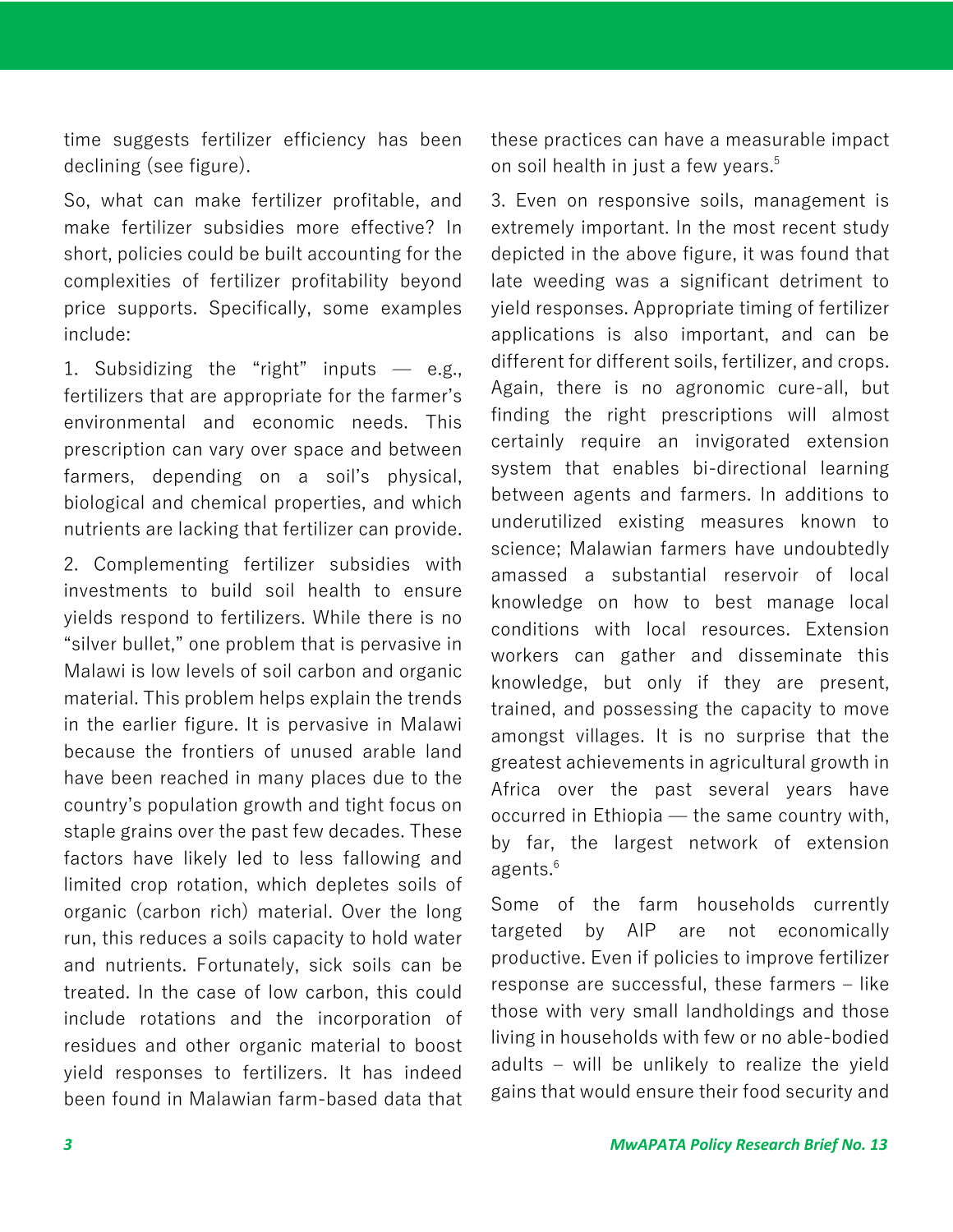time suggests fertilizer efficiency has been declining (see figure).

So, what can make fertilizer profitable, and make fertilizer subsidies more effective? In short, policies could be built accounting for the complexities of fertilizer profitability beyond price supports. Specifically, some examples include:

1. Subsidizing the "right" inputs  $-$  e.g., fertilizers that are appropriate for the farmer's environmental and economic needs. This prescription can vary over space and between farmers, depending on a soil's physical, biological and chemical properties, and which nutrients are lacking that fertilizer can provide.

2. Complementing fertilizer subsidies with investments to build soil health to ensure yields respond to fertilizers. While there is no "silver bullet," one problem that is pervasive in Malawi is low levels of soil carbon and organic material. This problem helps explain the trends in the earlier figure. It is pervasive in Malawi because the frontiers of unused arable land have been reached in many places due to the country's population growth and tight focus on staple grains over the past few decades. These factors have likely led to less fallowing and limited crop rotation, which depletes soils of organic (carbon rich) material. Over the long run, this reduces a soils capacity to hold water and nutrients. Fortunately, sick soils can be treated. In the case of low carbon, this could include rotations and the incorporation of residues and other organic material to boost yield responses to fertilizers. It has indeed been found in Malawian farm-based data that these practices can have a measurable impact on soil health in just a few years. 5

3. Even on responsive soils, management is extremely important. In the most recent study depicted in the above figure, it was found that late weeding was a significant detriment to yield responses. Appropriate timing of fertilizer applications is also important, and can be different for different soils, fertilizer, and crops. Again, there is no agronomic cure-all, but finding the right prescriptions will almost certainly require an invigorated extension system that enables bi-directional learning between agents and farmers. In additions to underutilized existing measures known to science; Malawian farmers have undoubtedly amassed a substantial reservoir of local knowledge on how to best manage local conditions with local resources. Extension workers can gather and disseminate this knowledge, but only if they are present, trained, and possessing the capacity to move amongst villages. It is no surprise that the greatest achievements in agricultural growth in Africa over the past several years have occurred in Ethiopia ̶ the same country with, by far, the largest network of extension agents. 6

Some of the farm households currently targeted by AIP are not economically productive. Even if policies to improve fertilizer response are successful, these farmers - like those with very small landholdings and those living in households with few or no able-bodied adults – will be unlikely to realize the yield gains that would ensure their food security and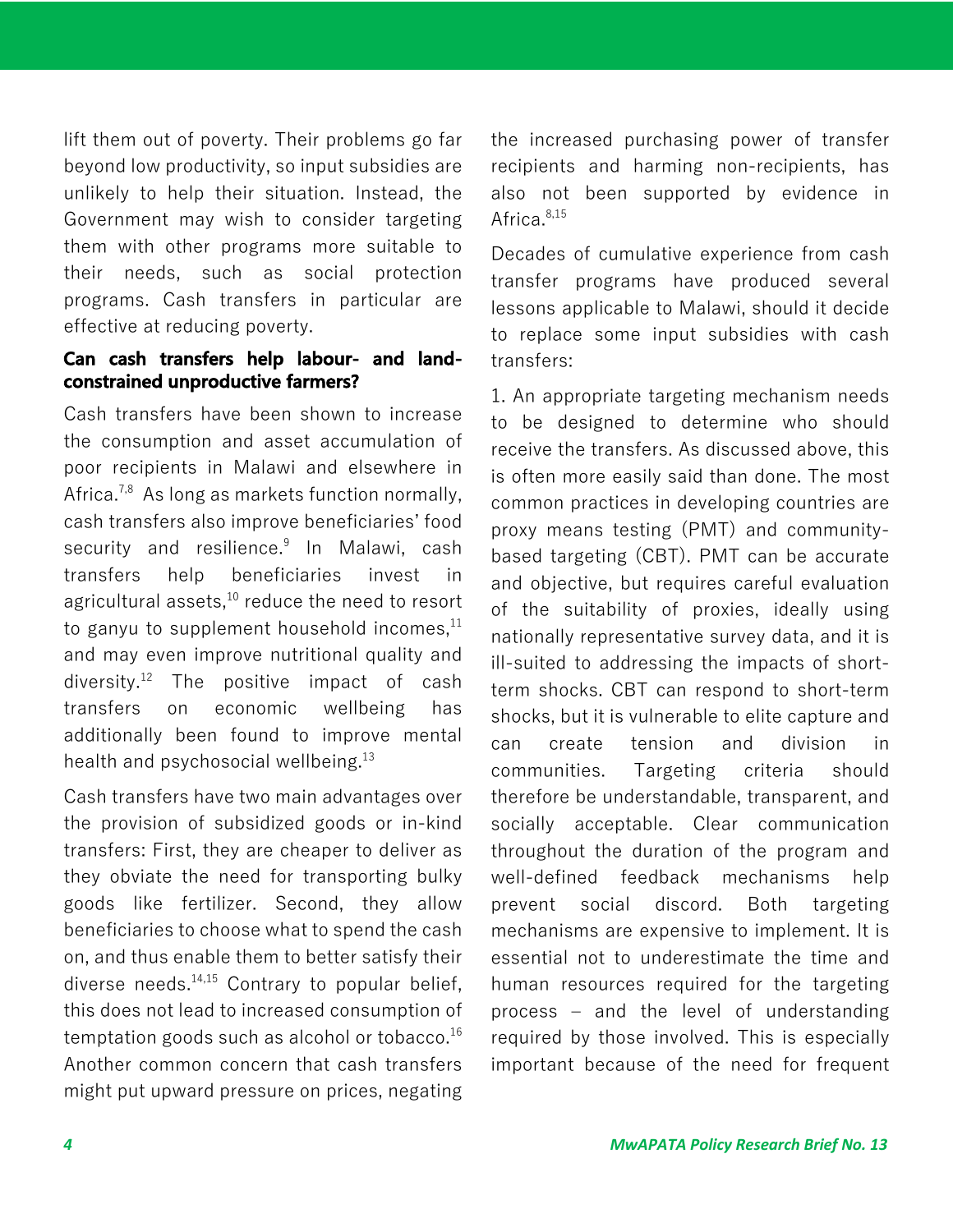lift them out of poverty. Their problems go far beyond low productivity, so input subsidies are unlikely to help their situation. Instead, the Government may wish to consider targeting them with other programs more suitable to their needs, such as social protection programs. Cash transfers in particular are effective at reducing poverty.

### **Can cash transfers help labour- and landconstrained unproductive farmers?**

Cash transfers have been shown to increase the consumption and asset accumulation of poor recipients in Malawi and elsewhere in Africa.<sup>7,8</sup> As long as markets function normally, cash transfers also improve beneficiaries' food security and resilience.<sup>9</sup> In Malawi, cash transfers help beneficiaries invest in agricultural assets,<sup>10</sup> reduce the need to resort to ganyu to supplement household incomes, $^{\rm 11}$ and may even improve nutritional quality and diversity. <sup>12</sup> The positive impact of cash transfers on economic wellbeing has additionally been found to improve mental health and psychosocial wellbeing.<sup>13</sup>

Cash transfers have two main advantages over the provision of subsidized goods or in-kind transfers: First, they are cheaper to deliver as they obviate the need for transporting bulky goods like fertilizer. Second, they allow beneficiaries to choose what to spend the cash on, and thus enable them to better satisfy their diverse needs. $14,15$  Contrary to popular belief, this does not lead to increased consumption of temptation goods such as alcohol or tobacco.<sup>16</sup> Another common concern that cash transfers might put upward pressure on prices, negating the increased purchasing power of transfer recipients and harming non-recipients, has also not been supported by evidence in Africa. 8,15

Decades of cumulative experience from cash transfer programs have produced several lessons applicable to Malawi, should it decide to replace some input subsidies with cash transfers:

1. An appropriate targeting mechanism needs to be designed to determine who should receive the transfers. As discussed above, this is often more easily said than done. The most common practices in developing countries are proxy means testing (PMT) and communitybased targeting (CBT). PMT can be accurate and objective, but requires careful evaluation of the suitability of proxies, ideally using nationally representative survey data, and it is ill-suited to addressing the impacts of shortterm shocks. CBT can respond to short-term shocks, but it is vulnerable to elite capture and can create tension and division in communities. Targeting criteria should therefore be understandable, transparent, and socially acceptable. Clear communication throughout the duration of the program and well-defined feedback mechanisms help prevent social discord. Both targeting mechanisms are expensive to implement. It is essential not to underestimate the time and human resources required for the targeting process  $-$  and the level of understanding required by those involved. This is especially important because of the need for frequent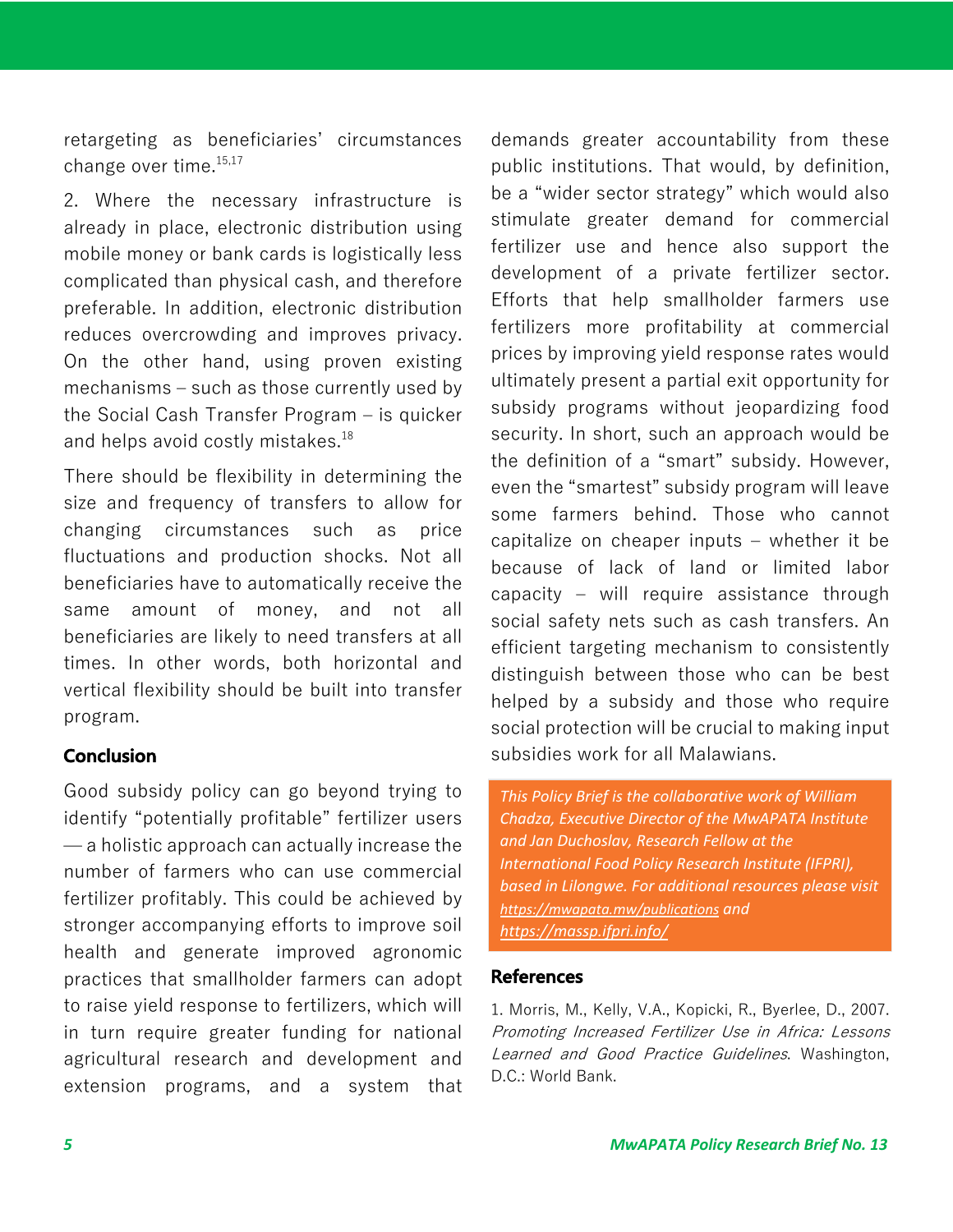retargeting as beneficiaries' circumstances change over time. 15,17

2. Where the necessary infrastructure is already in place, electronic distribution using mobile money or bank cards is logistically less complicated than physical cash, and therefore preferable. In addition, electronic distribution reduces overcrowding and improves privacy. On the other hand, using proven existing  $mechanisms - such as those currently used by$ the Social Cash Transfer Program – is quicker and helps avoid costly mistakes. 18

There should be flexibility in determining the size and frequency of transfers to allow for changing circumstances such as price fluctuations and production shocks. Not all beneficiaries have to automatically receive the same amount of money, and not all beneficiaries are likely to need transfers at all times. In other words, both horizontal and vertical flexibility should be built into transfer program.

## **Conclusion**

Good subsidy policy can go beyond trying to identify "potentially profitable" fertilizer users  $-$  a holistic approach can actually increase the number of farmers who can use commercial fertilizer profitably. This could be achieved by stronger accompanying efforts to improve soil health and generate improved agronomic practices that smallholder farmers can adopt to raise yield response to fertilizers, which will in turn require greater funding for national agricultural research and development and extension programs, and a system that

demands greater accountability from these public institutions. That would, by definition, be a "wider sector strategy" which would also stimulate greater demand for commercial fertilizer use and hence also support the development of a private fertilizer sector. Efforts that help smallholder farmers use fertilizers more profitability at commercial prices by improving yield response rates would ultimately present a partial exit opportunity for subsidy programs without jeopardizing food security. In short, such an approach would be the definition of a "smart" subsidy. However, even the "smartest" subsidy program will leave some farmers behind. Those who cannot capitalize on cheaper inputs – whether it be because of lack of land or limited labor capacity  $-$  will require assistance through social safety nets such as cash transfers. An efficient targeting mechanism to consistently distinguish between those who can be best helped by a subsidy and those who require social protection will be crucial to making input subsidies work for all Malawians.

*This Policy Brief is the collaborative work of William Chadza, Executive Director of the MwAPATA Institute and Jan Duchoslav, Research Fellow at the International Food Policy Research Institute (IFPRI), based in Lilongwe. For additional resources please visit https://mwapata.mw/publications and https://massp.ifpri.info/*

### **References**

1. Morris, M., Kelly, V.A., Kopicki, R., Byerlee, D., 2007. Promoting Increased Fertilizer Use in Africa: Lessons Learned and Good Practice Guidelines. Washington, D.C.: World Bank.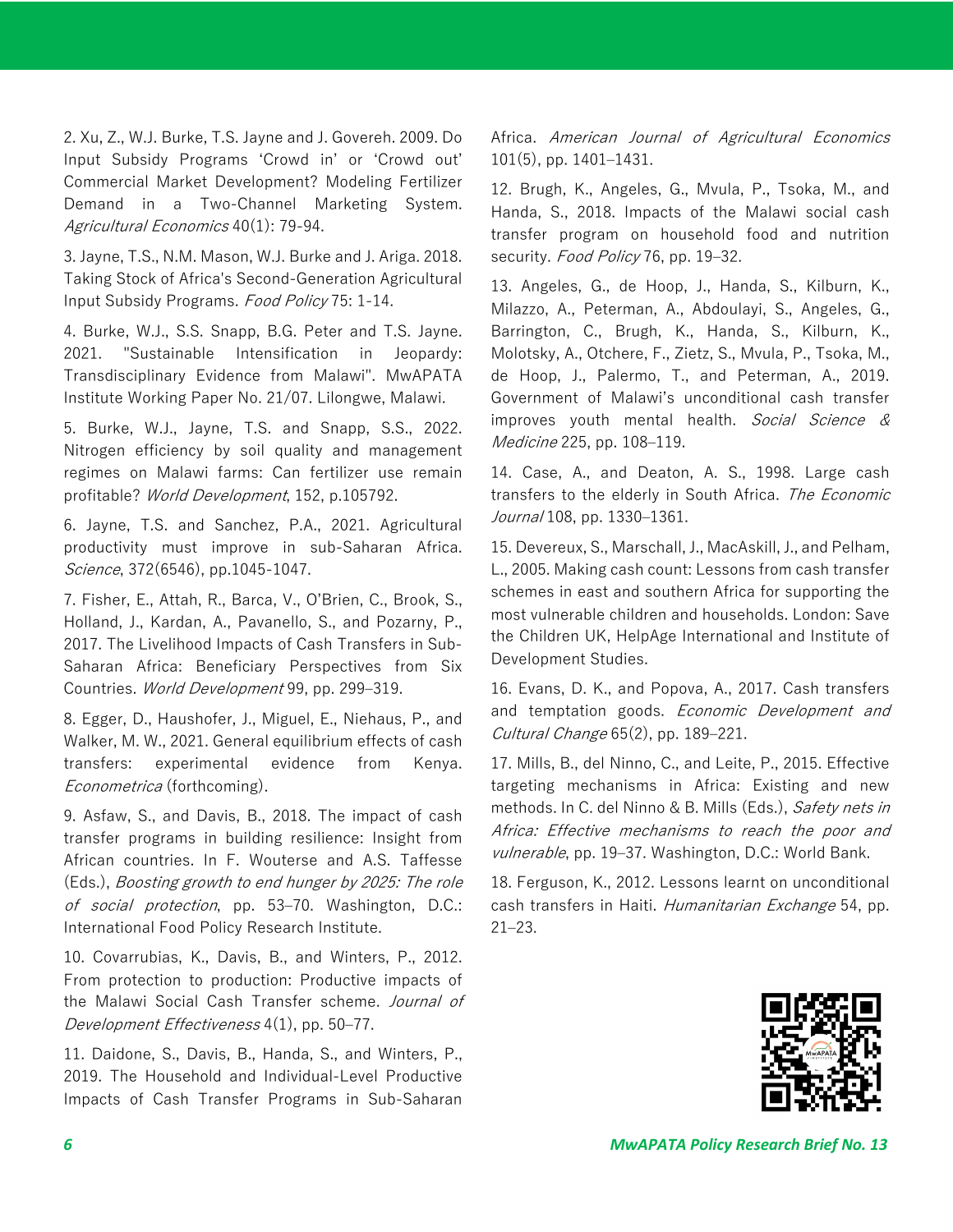2. Xu, Z., W.J. Burke, T.S. Jayne and J. Govereh. 2009. Do Input Subsidy Programs ʻCrowd in' or ʻCrowd out' Commercial Market Development? Modeling Fertilizer Demand in a Two-Channel Marketing System. Agricultural Economics 40(1): 79-94.

3. Jayne, T.S., N.M. Mason, W.J. Burke and J. Ariga. 2018. Taking Stock of Africa's Second-Generation Agricultural Input Subsidy Programs. Food Policy 75: 1-14.

4. Burke, W.J., S.S. Snapp, B.G. Peter and T.S. Jayne. 2021. "Sustainable Intensification in Jeopardy: Transdisciplinary Evidence from Malawi". MwAPATA Institute Working Paper No. 21/07. Lilongwe, Malawi.

5. Burke, W.J., Jayne, T.S. and Snapp, S.S., 2022. Nitrogen efficiency by soil quality and management regimes on Malawi farms: Can fertilizer use remain profitable? World Development, 152, p.105792.

6. Jayne, T.S. and Sanchez, P.A., 2021. Agricultural productivity must improve in sub-Saharan Africa. Science, 372(6546), pp.1045-1047.

7. Fisher, E., Attah, R., Barca, V., O'Brien, C., Brook, S., Holland, J., Kardan, A., Pavanello, S., and Pozarny, P., 2017. The Livelihood Impacts of Cash Transfers in Sub-Saharan Africa: Beneficiary Perspectives from Six Countries. World Development 99, pp. 299-319.

8. Egger, D., Haushofer, J., Miguel, E., Niehaus, P., and Walker, M. W., 2021. General equilibrium effects of cash transfers: experimental evidence from Kenya. *Econometrica* (forthcoming).

9. Asfaw, S., and Davis, B., 2018. The impact of cash transfer programs in building resilience: Insight from African countries. In F. Wouterse and A.S. Taffesse (Eds.), Boosting growth to end hunger by 2025: The role of social protection, pp. 53-70. Washington, D.C.: International Food Policy Research Institute.

10. Covarrubias, K., Davis, B., and Winters, P., 2012. From protection to production: Productive impacts of the Malawi Social Cash Transfer scheme. Journal of Development Effectiveness 4(1), pp. 50–77.

11. Daidone, S., Davis, B., Handa, S., and Winters, P., 2019. The Household and Individual-Level Productive Impacts of Cash Transfer Programs in Sub-Saharan Africa. American Journal of Agricultural Economics 101(5), pp. 1401‒1431.

12. Brugh, K., Angeles, G., Mvula, P., Tsoka, M., and Handa, S., 2018. Impacts of the Malawi social cash transfer program on household food and nutrition security. Food Policy 76, pp. 19-32.

13. Angeles, G., de Hoop, J., Handa, S., Kilburn, K., Milazzo, A., Peterman, A., Abdoulayi, S., Angeles, G., Barrington, C., Brugh, K., Handa, S., Kilburn, K., Molotsky, A., Otchere, F., Zietz, S., Mvula, P., Tsoka, M., de Hoop, J., Palermo, T., and Peterman, A., 2019. Government of Malawi's unconditional cash transfer improves youth mental health. Social Science & *Medicine* 225, pp. 108–119.

14. Case, A., and Deaton, A. S., 1998. Large cash transfers to the elderly in South Africa. The Economic *Journal* 108, pp. 1330–1361.

15. Devereux, S., Marschall, J., MacAskill, J., and Pelham, L., 2005. Making cash count: Lessons from cash transfer schemes in east and southern Africa for supporting the most vulnerable children and households. London: Save the Children UK, HelpAge International and Institute of Development Studies.

16. Evans, D. K., and Popova, A., 2017. Cash transfers and temptation goods. Economic Development and Cultural Change 65(2), pp. 189-221.

17. Mills, B., del Ninno, C., and Leite, P., 2015. Effective targeting mechanisms in Africa: Existing and new methods. In C. del Ninno & B. Mills (Eds.), Safety nets in Africa: Effective mechanisms to reach the poor and vulnerable, pp. 19–37. Washington, D.C.: World Bank.

18. Ferguson, K., 2012. Lessons learnt on unconditional cash transfers in Haiti. Humanitarian Exchange 54, pp.  $21 - 23$ .